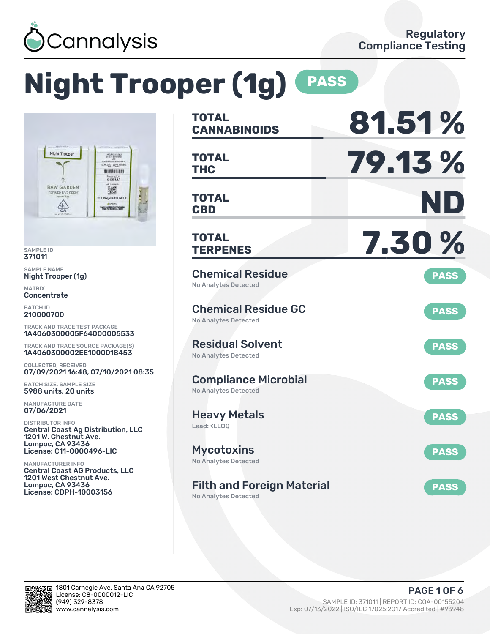

# **Night Trooper (1g) PASS**



SAMPLE ID 371011

SAMPLE NAME Night Trooper (1g)

MATRIX **Concentrate** 

BATCH ID 210000700

TRACK AND TRACE TEST PACKAGE 1A4060300005F64000005533

TRACK AND TRACE SOURCE PACKAGE(S) 1A4060300002EE1000018453

COLLECTED, RECEIVED 07/09/2021 16:48, 07/10/2021 08:35

BATCH SIZE, SAMPLE SIZE 5988 units, 20 units

MANUFACTURE DATE 07/06/2021

DISTRIBUTOR INFO Central Coast Ag Distribution, LLC 1201 W. Chestnut Ave. Lompoc, CA 93436 License: C11-0000496-LIC

MANUFACTURER INFO Central Coast AG Products, LLC 1201 West Chestnut Ave. Lompoc, CA 93436 License: CDPH-10003156

| <b>TOTAL</b><br><b>CANNABINOIDS</b>                                    | 81.51%      |
|------------------------------------------------------------------------|-------------|
| <b>TOTAL</b><br><b>THC</b>                                             | 79.13%      |
| TOTAL<br><b>CBD</b>                                                    | ND          |
| <b>TOTAL</b><br><b>TERPENES</b>                                        | 7.30%       |
| <b>Chemical Residue</b><br><b>No Analytes Detected</b>                 | <b>PASS</b> |
| <b>Chemical Residue GC</b><br><b>No Analytes Detected</b>              | <b>PASS</b> |
| <b>Residual Solvent</b><br><b>No Analytes Detected</b>                 | <b>PASS</b> |
| <b>Compliance Microbial</b><br>No Analytes Detected                    | <b>PASS</b> |
| <b>Heavy Metals</b><br>Lead: <ll00< td=""><td><b>PASS</b></td></ll00<> | <b>PASS</b> |
| <b>Mycotoxins</b><br>No Analytes Detected                              | <b>PASS</b> |
| <b>Filth and Foreign Material</b><br><b>No Analytes Detected</b>       | <b>PASS</b> |

回路公安日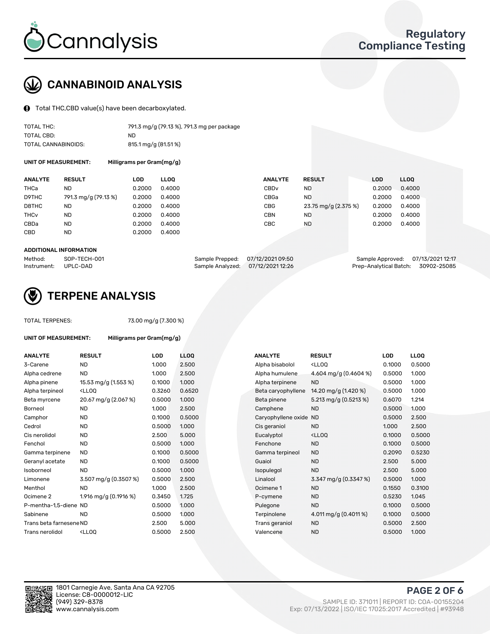

## CANNABINOID ANALYSIS

Total THC,CBD value(s) have been decarboxylated.

| TOTAL THC:          | 791.3 mg/g (79.13 %), 791.3 mg per package |
|---------------------|--------------------------------------------|
| TOTAL CBD:          | ND.                                        |
| TOTAL CANNABINOIDS: | 815.1 mg/g (81.51 %)                       |

UNIT OF MEASUREMENT: Milligrams per Gram(mg/g)

| <b>ANALYTE</b>         | <b>RESULT</b>        | LOD    | <b>LLOO</b> | <b>ANALYTE</b>   | <b>RESULT</b>        | LOD    | <b>LLOO</b> |
|------------------------|----------------------|--------|-------------|------------------|----------------------|--------|-------------|
| THCa                   | ND                   | 0.2000 | 0.4000      | CBD <sub>v</sub> | <b>ND</b>            | 0.2000 | 0.4000      |
| D9THC                  | 791.3 mg/g (79.13 %) | 0.2000 | 0.4000      | CBGa             | <b>ND</b>            | 0.2000 | 0.4000      |
| D8THC                  | ND                   | 0.2000 | 0.4000      | <b>CBG</b>       | 23.75 mg/g (2.375 %) | 0.2000 | 0.4000      |
| <b>THC<sub>v</sub></b> | <b>ND</b>            | 0.2000 | 0.4000      | <b>CBN</b>       | <b>ND</b>            | 0.2000 | 0.4000      |
| CBDa                   | <b>ND</b>            | 0.2000 | 0.4000      | CBC              | <b>ND</b>            | 0.2000 | 0.4000      |
| <b>CBD</b>             | <b>ND</b>            | 0.2000 | 0.4000      |                  |                      |        |             |

#### ADDITIONAL INFORMATION

| Method:              | SOP-TECH-001 | Sample Prepped: 07/12/2021 09:50  | Sample Approved: 07/13/2021 12:17  |  |
|----------------------|--------------|-----------------------------------|------------------------------------|--|
| Instrument: UPLC-DAD |              | Sample Analyzed: 07/12/2021 12:26 | Prep-Analytical Batch: 30902-25085 |  |



## TERPENE ANALYSIS

UNIT OF MEASUREMENT: Milligrams per Gram(mg/g)

| <b>TOTAL TERPENES:</b> |  |
|------------------------|--|
|------------------------|--|

73.00 mg/g (7.300 %)

| <b>ANALYTE</b>          | <b>RESULT</b>                                                                                                                            | <b>LOD</b> | LL <sub>OO</sub> | <b>ANALYTE</b>         | <b>RESULT</b>                                       | <b>LOD</b> | <b>LLOQ</b> |
|-------------------------|------------------------------------------------------------------------------------------------------------------------------------------|------------|------------------|------------------------|-----------------------------------------------------|------------|-------------|
| 3-Carene                | <b>ND</b>                                                                                                                                | 1.000      | 2.500            | Alpha bisabolol        | <ll0q< td=""><td>0.1000</td><td>0.5000</td></ll0q<> | 0.1000     | 0.5000      |
| Alpha cedrene           | <b>ND</b>                                                                                                                                | 1.000      | 2.500            | Alpha humulene         | 4.604 mg/g (0.4604 %)                               | 0.5000     | 1.000       |
| Alpha pinene            | 15.53 mg/g (1.553 %)                                                                                                                     | 0.1000     | 1.000            | Alpha terpinene        | <b>ND</b>                                           | 0.5000     | 1.000       |
| Alpha terpineol         | <lloq< td=""><td>0.3260</td><td>0.6520</td><td>Beta caryophyllene</td><td>14.20 mg/g (1.420 %)</td><td>0.5000</td><td>1.000</td></lloq<> | 0.3260     | 0.6520           | Beta caryophyllene     | 14.20 mg/g (1.420 %)                                | 0.5000     | 1.000       |
| Beta myrcene            | 20.67 mg/g (2.067 %)                                                                                                                     | 0.5000     | 1.000            | Beta pinene            | 5.213 mg/g (0.5213 %)                               | 0.6070     | 1.214       |
| Borneol                 | <b>ND</b>                                                                                                                                | 1.000      | 2.500            | Camphene               | <b>ND</b>                                           | 0.5000     | 1.000       |
| Camphor                 | <b>ND</b>                                                                                                                                | 0.1000     | 0.5000           | Caryophyllene oxide ND |                                                     | 0.5000     | 2.500       |
| Cedrol                  | <b>ND</b>                                                                                                                                | 0.5000     | 1.000            | Cis geraniol           | <b>ND</b>                                           | 1.000      | 2.500       |
| Cis nerolidol           | <b>ND</b>                                                                                                                                | 2.500      | 5.000            | Eucalyptol             | <ll0q< td=""><td>0.1000</td><td>0.5000</td></ll0q<> | 0.1000     | 0.5000      |
| Fenchol                 | <b>ND</b>                                                                                                                                | 0.5000     | 1.000            | Fenchone               | <b>ND</b>                                           | 0.1000     | 0.5000      |
| Gamma terpinene         | <b>ND</b>                                                                                                                                | 0.1000     | 0.5000           | Gamma terpineol        | <b>ND</b>                                           | 0.2090     | 0.5230      |
| Geranyl acetate         | <b>ND</b>                                                                                                                                | 0.1000     | 0.5000           | Guaiol                 | <b>ND</b>                                           | 2.500      | 5.000       |
| Isoborneol              | <b>ND</b>                                                                                                                                | 0.5000     | 1.000            | Isopulegol             | <b>ND</b>                                           | 2.500      | 5.000       |
| Limonene                | 3.507 mg/g (0.3507 %)                                                                                                                    | 0.5000     | 2.500            | Linalool               | 3.347 mg/g (0.3347 %)                               | 0.5000     | 1.000       |
| Menthol                 | <b>ND</b>                                                                                                                                | 1.000      | 2.500            | Ocimene 1              | <b>ND</b>                                           | 0.1550     | 0.3100      |
| Ocimene <sub>2</sub>    | 1.916 mg/g (0.1916 %)                                                                                                                    | 0.3450     | 1.725            | P-cymene               | <b>ND</b>                                           | 0.5230     | 1.045       |
| P-mentha-1.5-diene ND   |                                                                                                                                          | 0.5000     | 1.000            | Pulegone               | <b>ND</b>                                           | 0.1000     | 0.5000      |
| Sabinene                | <b>ND</b>                                                                                                                                | 0.5000     | 1.000            | Terpinolene            | 4.011 mg/g (0.4011 %)                               | 0.1000     | 0.5000      |
| Trans beta farnesene ND |                                                                                                                                          | 2.500      | 5.000            | Trans geraniol         | <b>ND</b>                                           | 0.5000     | 2.500       |
| Trans nerolidol         | <ll00< td=""><td>0.5000</td><td>2.500</td><td>Valencene</td><td><b>ND</b></td><td>0.5000</td><td>1.000</td></ll00<>                      | 0.5000     | 2.500            | Valencene              | <b>ND</b>                                           | 0.5000     | 1.000       |

| <b>NALYTE</b>         | <b>RESULT</b>           | LOD    | LL <sub>OO</sub> |
|-----------------------|-------------------------|--------|------------------|
| lpha bisabolol        | $<$ LLOO                | 0.1000 | 0.5000           |
| Ipha humulene         | 4.604 mg/g $(0.4604\%)$ | 0.5000 | 1.000            |
| Ipha terpinene        | <b>ND</b>               | 0.5000 | 1.000            |
| eta caryophyllene     | 14.20 mg/g (1.420 %)    | 0.5000 | 1.000            |
| eta pinene            | 5.213 mg/g (0.5213 %)   | 0.6070 | 1.214            |
| amphene               | <b>ND</b>               | 0.5000 | 1.000            |
| aryophyllene oxide ND |                         | 0.5000 | 2.500            |
| is geraniol           | <b>ND</b>               | 1.000  | 2.500            |
| ucalyptol             | $<$ LLOO                | 0.1000 | 0.5000           |
| enchone               | <b>ND</b>               | 0.1000 | 0.5000           |
| amma terpineol        | <b>ND</b>               | 0.2090 | 0.5230           |
| uaiol                 | <b>ND</b>               | 2.500  | 5.000            |
| opulegol              | <b>ND</b>               | 2.500  | 5.000            |
| nalool                | 3.347 mg/g (0.3347 %)   | 0.5000 | 1.000            |
| cimene 1              | <b>ND</b>               | 0.1550 | 0.3100           |
| -cymene               | <b>ND</b>               | 0.5230 | 1.045            |
| ulegone               | <b>ND</b>               | 0.1000 | 0.5000           |
| erpinolene            | 4.011 mg/g (0.4011 %)   | 0.1000 | 0.5000           |
| rans geraniol         | <b>ND</b>               | 0.5000 | 2.500            |
| alencene              | <b>ND</b>               | 0.5000 | 1.000            |

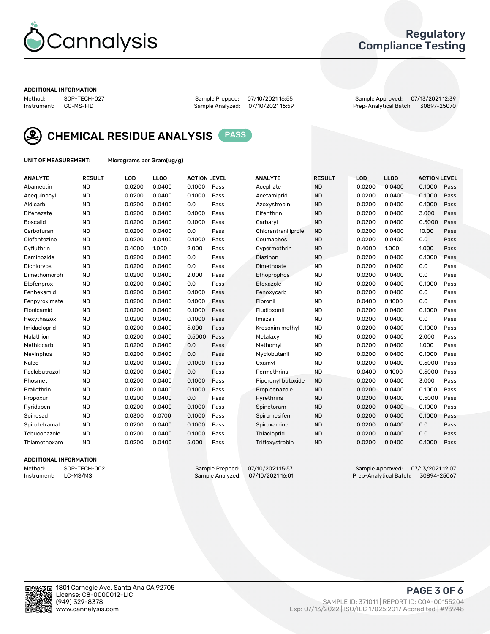

## Regulatory Compliance Testing

#### ADDITIONAL INFORMATION

Method: SOP-TECH-027 Sample Prepped: 07/10/2021 16:55 Sample Approved: 07/13/2021 12:39 Prep-Analytical Batch: 30897-25070



CHEMICAL RESIDUE ANALYSIS PASS

UNIT OF MEASUREMENT: Micrograms per Gram(ug/g)

| <b>ANALYTE</b>  | <b>RESULT</b> | LOD    | LLOQ   | <b>ACTION LEVEL</b> |      | <b>ANALYTE</b>      | <b>RESULT</b> | LOD    | <b>LLOQ</b> | <b>ACTION LEVEL</b> |      |
|-----------------|---------------|--------|--------|---------------------|------|---------------------|---------------|--------|-------------|---------------------|------|
| Abamectin       | <b>ND</b>     | 0.0200 | 0.0400 | 0.1000              | Pass | Acephate            | <b>ND</b>     | 0.0200 | 0.0400      | 0.1000              | Pass |
| Acequinocyl     | <b>ND</b>     | 0.0200 | 0.0400 | 0.1000              | Pass | Acetamiprid         | <b>ND</b>     | 0.0200 | 0.0400      | 0.1000              | Pass |
| Aldicarb        | <b>ND</b>     | 0.0200 | 0.0400 | 0.0                 | Pass | Azoxystrobin        | <b>ND</b>     | 0.0200 | 0.0400      | 0.1000              | Pass |
| Bifenazate      | <b>ND</b>     | 0.0200 | 0.0400 | 0.1000              | Pass | Bifenthrin          | <b>ND</b>     | 0.0200 | 0.0400      | 3.000               | Pass |
| <b>Boscalid</b> | <b>ND</b>     | 0.0200 | 0.0400 | 0.1000              | Pass | Carbaryl            | <b>ND</b>     | 0.0200 | 0.0400      | 0.5000              | Pass |
| Carbofuran      | <b>ND</b>     | 0.0200 | 0.0400 | 0.0                 | Pass | Chlorantraniliprole | <b>ND</b>     | 0.0200 | 0.0400      | 10.00               | Pass |
| Clofentezine    | <b>ND</b>     | 0.0200 | 0.0400 | 0.1000              | Pass | Coumaphos           | <b>ND</b>     | 0.0200 | 0.0400      | 0.0                 | Pass |
| Cyfluthrin      | <b>ND</b>     | 0.4000 | 1.000  | 2.000               | Pass | Cypermethrin        | <b>ND</b>     | 0.4000 | 1.000       | 1.000               | Pass |
| Daminozide      | <b>ND</b>     | 0.0200 | 0.0400 | 0.0                 | Pass | Diazinon            | <b>ND</b>     | 0.0200 | 0.0400      | 0.1000              | Pass |
| Dichlorvos      | <b>ND</b>     | 0.0200 | 0.0400 | 0.0                 | Pass | Dimethoate          | <b>ND</b>     | 0.0200 | 0.0400      | 0.0                 | Pass |
| Dimethomorph    | <b>ND</b>     | 0.0200 | 0.0400 | 2.000               | Pass | <b>Ethoprophos</b>  | <b>ND</b>     | 0.0200 | 0.0400      | 0.0                 | Pass |
| Etofenprox      | <b>ND</b>     | 0.0200 | 0.0400 | 0.0                 | Pass | Etoxazole           | <b>ND</b>     | 0.0200 | 0.0400      | 0.1000              | Pass |
| Fenhexamid      | <b>ND</b>     | 0.0200 | 0.0400 | 0.1000              | Pass | Fenoxycarb          | <b>ND</b>     | 0.0200 | 0.0400      | 0.0                 | Pass |
| Fenpyroximate   | <b>ND</b>     | 0.0200 | 0.0400 | 0.1000              | Pass | Fipronil            | <b>ND</b>     | 0.0400 | 0.1000      | 0.0                 | Pass |
| Flonicamid      | <b>ND</b>     | 0.0200 | 0.0400 | 0.1000              | Pass | Fludioxonil         | <b>ND</b>     | 0.0200 | 0.0400      | 0.1000              | Pass |
| Hexythiazox     | <b>ND</b>     | 0.0200 | 0.0400 | 0.1000              | Pass | Imazalil            | <b>ND</b>     | 0.0200 | 0.0400      | 0.0                 | Pass |
| Imidacloprid    | <b>ND</b>     | 0.0200 | 0.0400 | 5.000               | Pass | Kresoxim methyl     | <b>ND</b>     | 0.0200 | 0.0400      | 0.1000              | Pass |
| Malathion       | <b>ND</b>     | 0.0200 | 0.0400 | 0.5000              | Pass | Metalaxyl           | <b>ND</b>     | 0.0200 | 0.0400      | 2.000               | Pass |
| Methiocarb      | <b>ND</b>     | 0.0200 | 0.0400 | 0.0                 | Pass | Methomyl            | <b>ND</b>     | 0.0200 | 0.0400      | 1.000               | Pass |
| Mevinphos       | <b>ND</b>     | 0.0200 | 0.0400 | 0.0                 | Pass | Myclobutanil        | <b>ND</b>     | 0.0200 | 0.0400      | 0.1000              | Pass |
| Naled           | <b>ND</b>     | 0.0200 | 0.0400 | 0.1000              | Pass | Oxamyl              | <b>ND</b>     | 0.0200 | 0.0400      | 0.5000              | Pass |
| Paclobutrazol   | <b>ND</b>     | 0.0200 | 0.0400 | 0.0                 | Pass | Permethrins         | <b>ND</b>     | 0.0400 | 0.1000      | 0.5000              | Pass |
| Phosmet         | <b>ND</b>     | 0.0200 | 0.0400 | 0.1000              | Pass | Piperonyl butoxide  | <b>ND</b>     | 0.0200 | 0.0400      | 3.000               | Pass |
| Prallethrin     | <b>ND</b>     | 0.0200 | 0.0400 | 0.1000              | Pass | Propiconazole       | <b>ND</b>     | 0.0200 | 0.0400      | 0.1000              | Pass |
| Propoxur        | <b>ND</b>     | 0.0200 | 0.0400 | 0.0                 | Pass | Pyrethrins          | <b>ND</b>     | 0.0200 | 0.0400      | 0.5000              | Pass |
| Pyridaben       | <b>ND</b>     | 0.0200 | 0.0400 | 0.1000              | Pass | Spinetoram          | <b>ND</b>     | 0.0200 | 0.0400      | 0.1000              | Pass |
| Spinosad        | <b>ND</b>     | 0.0300 | 0.0700 | 0.1000              | Pass | Spiromesifen        | <b>ND</b>     | 0.0200 | 0.0400      | 0.1000              | Pass |
| Spirotetramat   | <b>ND</b>     | 0.0200 | 0.0400 | 0.1000              | Pass | Spiroxamine         | <b>ND</b>     | 0.0200 | 0.0400      | 0.0                 | Pass |
| Tebuconazole    | <b>ND</b>     | 0.0200 | 0.0400 | 0.1000              | Pass | Thiacloprid         | <b>ND</b>     | 0.0200 | 0.0400      | 0.0                 | Pass |
| Thiamethoxam    | <b>ND</b>     | 0.0200 | 0.0400 | 5.000               | Pass | Trifloxystrobin     | <b>ND</b>     | 0.0200 | 0.0400      | 0.1000              | Pass |
|                 |               |        |        |                     |      |                     |               |        |             |                     |      |

### ADDITIONAL INFORMATION

Method: SOP-TECH-002 Sample Prepped: 07/10/2021 15:57 Sample Approved: 07/13/2021 12:07 Prep-Analytical Batch: 30894-25067

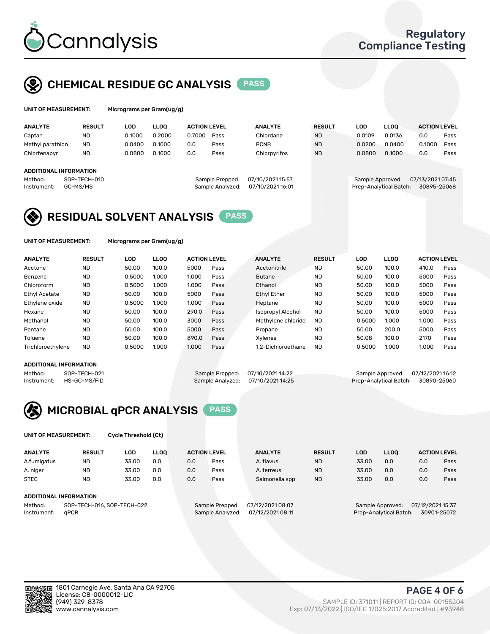

## CHEMICAL RESIDUE GC ANALYSIS PASS

| UNIT OF MEASUREMENT: | Micr |
|----------------------|------|
|----------------------|------|

rograms per Gram(ug/g)

| <b>ANALYTE</b>                | <b>RESULT</b> | LOD    | <b>LLOO</b> | <b>ACTION LEVEL</b> |                  | <b>ANALYTE</b>   | <b>RESULT</b> | LOD              | <b>LLOO</b>            | <b>ACTION LEVEL</b> |      |
|-------------------------------|---------------|--------|-------------|---------------------|------------------|------------------|---------------|------------------|------------------------|---------------------|------|
| Captan                        | <b>ND</b>     | 0.1000 | 0.2000      | 0.7000              | Pass             | Chlordane        | <b>ND</b>     | 0.0109           | 0.0136                 | 0.0                 | Pass |
| Methyl parathion              | <b>ND</b>     | 0.0400 | 0.1000      | 0.0                 | Pass             | <b>PCNB</b>      | <b>ND</b>     | 0.0200           | 0.0400                 | 0.1000              | Pass |
| Chlorfenapyr                  | <b>ND</b>     | 0.0800 | 0.1000      | 0.0                 | Pass             | Chlorpyrifos     | <b>ND</b>     | 0.0800           | 0.1000                 | 0.0                 | Pass |
|                               |               |        |             |                     |                  |                  |               |                  |                        |                     |      |
| <b>ADDITIONAL INFORMATION</b> |               |        |             |                     |                  |                  |               |                  |                        |                     |      |
| Method:                       | SOP-TECH-010  |        |             |                     | Sample Prepped:  | 07/10/2021 15:57 |               | Sample Approved: |                        | 07/13/2021 07:45    |      |
| Instrument:                   | GC-MS/MS      |        |             |                     | Sample Analyzed: | 07/10/2021 16:01 |               |                  | Prep-Analytical Batch: | 30895-25068         |      |

## RESIDUAL SOLVENT ANALYSIS PASS

UNIT OF MEASUREMENT: Micrograms per Gram(ug/g)

| <b>ANALYTE</b>       | <b>RESULT</b> | <b>LOD</b> | <b>LLOO</b> | <b>ACTION LEVEL</b> |      | <b>ANALYTE</b>           | <b>RESULT</b> | LOD    | <b>LLOO</b> | <b>ACTION LEVEL</b> |      |
|----------------------|---------------|------------|-------------|---------------------|------|--------------------------|---------------|--------|-------------|---------------------|------|
| Acetone              | <b>ND</b>     | 50.00      | 100.0       | 5000                | Pass | Acetonitrile             | <b>ND</b>     | 50.00  | 100.0       | 410.0               | Pass |
| Benzene              | <b>ND</b>     | 0.5000     | 1.000       | 1.000               | Pass | <b>Butane</b>            | <b>ND</b>     | 50.00  | 100.0       | 5000                | Pass |
| Chloroform           | <b>ND</b>     | 0.5000     | 1.000       | 1.000               | Pass | Ethanol                  | <b>ND</b>     | 50.00  | 100.0       | 5000                | Pass |
| <b>Ethyl Acetate</b> | <b>ND</b>     | 50.00      | 100.0       | 5000                | Pass | <b>Ethyl Ether</b>       | <b>ND</b>     | 50.00  | 100.0       | 5000                | Pass |
| Ethylene oxide       | <b>ND</b>     | 0.5000     | 1.000       | 1.000               | Pass | Heptane                  | <b>ND</b>     | 50.00  | 100.0       | 5000                | Pass |
| Hexane               | <b>ND</b>     | 50.00      | 100.0       | 290.0               | Pass | <b>Isopropyl Alcohol</b> | <b>ND</b>     | 50.00  | 100.0       | 5000                | Pass |
| Methanol             | <b>ND</b>     | 50.00      | 100.0       | 3000                | Pass | Methylene chloride       | <b>ND</b>     | 0.5000 | 1.000       | 1.000               | Pass |
| Pentane              | <b>ND</b>     | 50.00      | 100.0       | 5000                | Pass | Propane                  | <b>ND</b>     | 50.00  | 200.0       | 5000                | Pass |
| Toluene              | <b>ND</b>     | 50.00      | 100.0       | 890.0               | Pass | Xylenes                  | <b>ND</b>     | 50.08  | 100.0       | 2170                | Pass |
| Trichloroethylene    | <b>ND</b>     | 0.5000     | 1.000       | 1.000               | Pass | 1.2-Dichloroethane       | <b>ND</b>     | 0.5000 | 1.000       | 1.000               | Pass |

### ADDITIONAL INFORMATION

Method: SOP-TECH-021 Sample Prepped: 07/10/2021 14:22 Sample Approved: 07/12/2021 16:12<br>Instrument: HS-GC-MS/FID Sample Analyzed: 07/10/2021 14:25 Prep-Analytical Batch: 30890-25060

Prep-Analytical Batch: 30890-25060

# MICROBIAL qPCR ANALYSIS PASS

UNIT OF MEASUREMENT: Cycle Threshold (Ct)

| <b>ANALYTE</b>                        | <b>RESULT</b>                 | LOD   | <b>LLOO</b> | <b>ACTION LEVEL</b> |                 | <b>ANALYTE</b>   | <b>RESULT</b> | LOD   | <b>LLOO</b>      |                  | <b>ACTION LEVEL</b> |
|---------------------------------------|-------------------------------|-------|-------------|---------------------|-----------------|------------------|---------------|-------|------------------|------------------|---------------------|
| A.fumigatus                           | <b>ND</b>                     | 33.00 | 0.0         | 0.0                 | Pass            | A. flavus        | <b>ND</b>     | 33.00 | 0.0              | 0.0              | Pass                |
| A. niger                              | <b>ND</b>                     | 33.00 | 0.0         | 0.0                 | Pass            | A. terreus       | <b>ND</b>     | 33.00 | 0.0              | 0.0              | Pass                |
| <b>STEC</b>                           | <b>ND</b>                     | 33.00 | 0.0         | 0.0                 | Pass            | Salmonella spp   | <b>ND</b>     | 33.00 | 0.0              | 0.0              | Pass                |
|                                       | <b>ADDITIONAL INFORMATION</b> |       |             |                     |                 |                  |               |       |                  |                  |                     |
| SOP-TECH-016, SOP-TECH-022<br>Method: |                               |       |             |                     | Sample Prepped: | 07/12/2021 08:07 |               |       | Sample Approved: | 07/12/2021 15:37 |                     |

Instrument: qPCR Sample Analyzed: 07/12/2021 08:11 Prep-Analytical Batch: 30901-25072

PAGE 4 OF 6

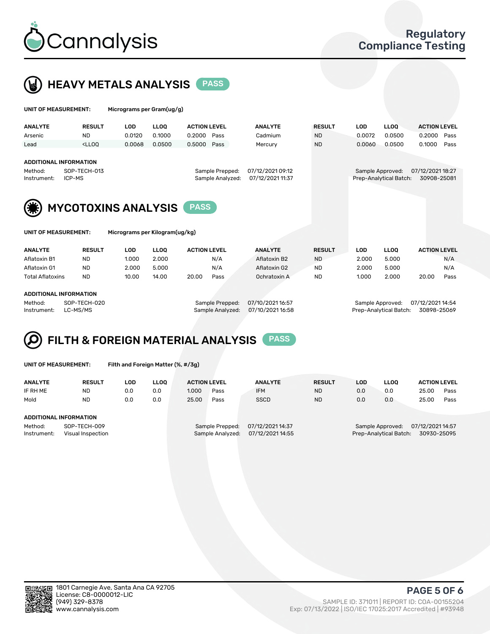



| UNIT OF MEASUREMENT:                                                              |                                                                                                                                                                                  | Micrograms per Gram(ug/g) |                                                                             |                     |  |                |                                                                               |            |                   |                     |      |
|-----------------------------------------------------------------------------------|----------------------------------------------------------------------------------------------------------------------------------------------------------------------------------|---------------------------|-----------------------------------------------------------------------------|---------------------|--|----------------|-------------------------------------------------------------------------------|------------|-------------------|---------------------|------|
| <b>ANALYTE</b>                                                                    | <b>RESULT</b>                                                                                                                                                                    | <b>LOD</b>                | <b>LLOO</b>                                                                 | <b>ACTION LEVEL</b> |  | <b>ANALYTE</b> | <b>RESULT</b>                                                                 | <b>LOD</b> | LLOO <sup>1</sup> | <b>ACTION LEVEL</b> |      |
| Arsenic                                                                           | <b>ND</b>                                                                                                                                                                        | 0.0120                    | 0.1000                                                                      | 0.2000<br>Pass      |  | Cadmium        | <b>ND</b>                                                                     | 0.0072     | 0.0500            | 0.2000              | Pass |
| Lead                                                                              | <lloo< td=""><td>0.0068</td><td>0.0500</td><td>0.5000<br/>Pass</td><td></td><td>Mercury</td><td><b>ND</b></td><td>0.0060</td><td>0.0500</td><td>0.1000</td><td>Pass</td></lloo<> | 0.0068                    | 0.0500                                                                      | 0.5000<br>Pass      |  | Mercury        | <b>ND</b>                                                                     | 0.0060     | 0.0500            | 0.1000              | Pass |
| <b>ADDITIONAL INFORMATION</b><br>SOP-TECH-013<br>Method:<br>ICP-MS<br>Instrument: |                                                                                                                                                                                  |                           | 07/12/2021 09:12<br>Sample Prepped:<br>Sample Analyzed:<br>07/12/2021 11:37 |                     |  |                | 07/12/2021 18:27<br>Sample Approved:<br>Prep-Analytical Batch:<br>30908-25081 |            |                   |                     |      |
| <b>MYCOTOXINS ANALYSIS</b><br><b>PASS</b>                                         |                                                                                                                                                                                  |                           |                                                                             |                     |  |                |                                                                               |            |                   |                     |      |
| UNIT OF MEASUREMENT:<br>Micrograms per Kilogram(ug/kg)                            |                                                                                                                                                                                  |                           |                                                                             |                     |  |                |                                                                               |            |                   |                     |      |
| <b>ANALYTE</b>                                                                    | <b>RESULT</b>                                                                                                                                                                    | <b>LOD</b>                | <b>LLOO</b>                                                                 | <b>ACTION LEVEL</b> |  | <b>ANALYTE</b> | <b>RESULT</b>                                                                 | <b>LOD</b> | <b>LLOQ</b>       | <b>ACTION LEVEL</b> |      |
| Aflatoxin B1                                                                      | <b>ND</b>                                                                                                                                                                        | 1.000                     | 2.000                                                                       | N/A                 |  | Aflatoxin B2   | <b>ND</b>                                                                     | 2.000      | 5.000             |                     | N/A  |
| Aflatoxin G1                                                                      | <b>ND</b>                                                                                                                                                                        | 2.000                     | 5.000                                                                       | N/A                 |  | Aflatoxin G2   | <b>ND</b>                                                                     | 2.000      | 5.000             |                     | N/A  |
| <b>Total Aflatoxins</b>                                                           | <b>ND</b>                                                                                                                                                                        | 10.00                     | 14.00                                                                       | 20.00<br>Pass       |  | Ochratoxin A   | <b>ND</b>                                                                     | 1.000      | 2.000             | 20.00               | Pass |

#### ADDITIONAL INFORMATION

Method: SOP-TECH-020 Sample Prepped: 07/10/2021 16:57 Sample Approved: 07/12/2021 14:54 Instrument: LC-MS/MS Sample Analyzed: 07/10/2021 16:58 Prep-Analytical Batch: 30898-25069

# FILTH & FOREIGN MATERIAL ANALYSIS PASS

UNIT OF MEASUREMENT: Filth and Foreign Matter (%, #/3g)

| <b>ANALYTE</b>         | <b>RESULT</b>                     | LOD | <b>LLOO</b> | <b>ACTION LEVEL</b> |                                     | <b>ANALYTE</b>                       | <b>RESULT</b> | LOD | <b>LLOO</b>                                | <b>ACTION LEVEL</b>             |      |
|------------------------|-----------------------------------|-----|-------------|---------------------|-------------------------------------|--------------------------------------|---------------|-----|--------------------------------------------|---------------------------------|------|
| IF RH ME               | <b>ND</b>                         | 0.0 | 0.0         | 1.000               | Pass                                | <b>IFM</b>                           | <b>ND</b>     | 0.0 | 0.0                                        | 25.00                           | Pass |
| Mold                   | <b>ND</b>                         | 0.0 | 0.0         | 25.00               | Pass                                | <b>SSCD</b>                          | <b>ND</b>     | 0.0 | 0.0                                        | 25.00                           | Pass |
| ADDITIONAL INFORMATION |                                   |     |             |                     |                                     |                                      |               |     |                                            |                                 |      |
| Method:<br>Instrument: | SOP-TECH-009<br>Visual Inspection |     |             |                     | Sample Prepped:<br>Sample Analyzed: | 07/12/2021 14:37<br>07/12/2021 14:55 |               |     | Sample Approved:<br>Prep-Analytical Batch: | 07/12/2021 14:57<br>30930-25095 |      |